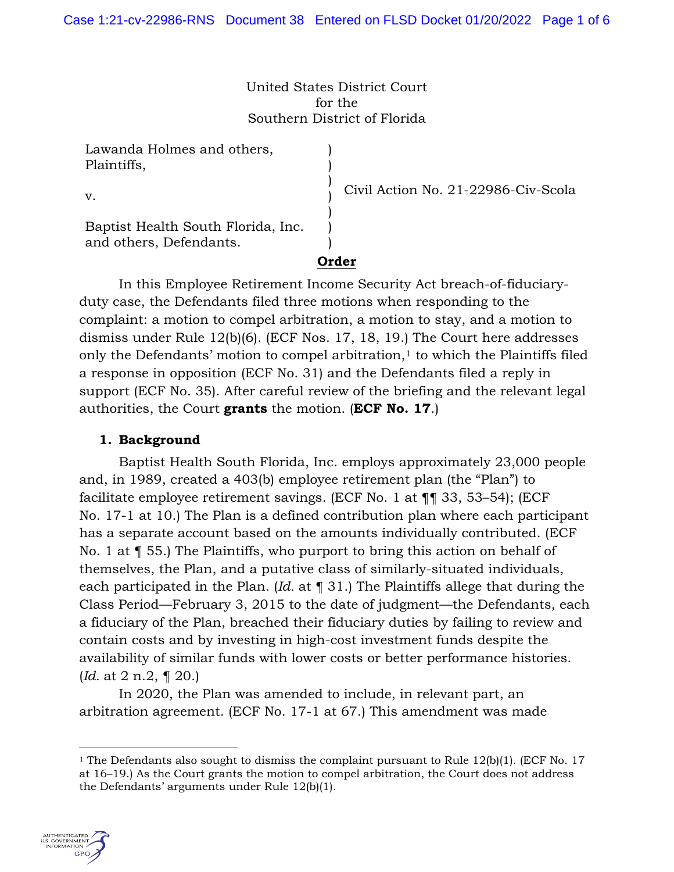United States District Court for the Southern District of Florida

| Lawanda Holmes and others,<br>Plaintiffs,                     |                                     |
|---------------------------------------------------------------|-------------------------------------|
| V.                                                            | Civil Action No. 21-22986-Civ-Scola |
| Baptist Health South Florida, Inc.<br>and others, Defendants. |                                     |
|                                                               |                                     |

In this Employee Retirement Income Security Act breach-of-fiduciaryduty case, the Defendants filed three motions when responding to the complaint: a motion to compel arbitration, a motion to stay, and a motion to dismiss under Rule 12(b)(6). (ECF Nos. 17, 18, 19.) The Court here addresses only the Defendants' motion to compel arbitration, $1$  to which the Plaintiffs filed a response in opposition (ECF No. 31) and the Defendants filed a reply in support (ECF No. 35). After careful review of the briefing and the relevant legal authorities, the Court **grants** the motion. (**ECF No. 17**.)

## **1. Background**

Baptist Health South Florida, Inc. employs approximately 23,000 people and, in 1989, created a 403(b) employee retirement plan (the "Plan") to facilitate employee retirement savings. (ECF No. 1 at ¶¶ 33, 53–54); (ECF No. 17-1 at 10.) The Plan is a defined contribution plan where each participant has a separate account based on the amounts individually contributed. (ECF No. 1 at ¶ 55.) The Plaintiffs, who purport to bring this action on behalf of themselves, the Plan, and a putative class of similarly-situated individuals, each participated in the Plan. (*Id.* at ¶ 31.) The Plaintiffs allege that during the Class Period—February 3, 2015 to the date of judgment—the Defendants, each a fiduciary of the Plan, breached their fiduciary duties by failing to review and contain costs and by investing in high-cost investment funds despite the availability of similar funds with lower costs or better performance histories. (*Id.* at 2 n.2, ¶ 20.)

In 2020, the Plan was amended to include, in relevant part, an arbitration agreement. (ECF No. 17-1 at 67.) This amendment was made

<sup>&</sup>lt;sup>1</sup> The Defendants also sought to dismiss the complaint pursuant to Rule  $12(b)(1)$ . (ECF No. 17) at 16–19.) As the Court grants the motion to compel arbitration, the Court does not address the Defendants' arguments under Rule 12(b)(1).

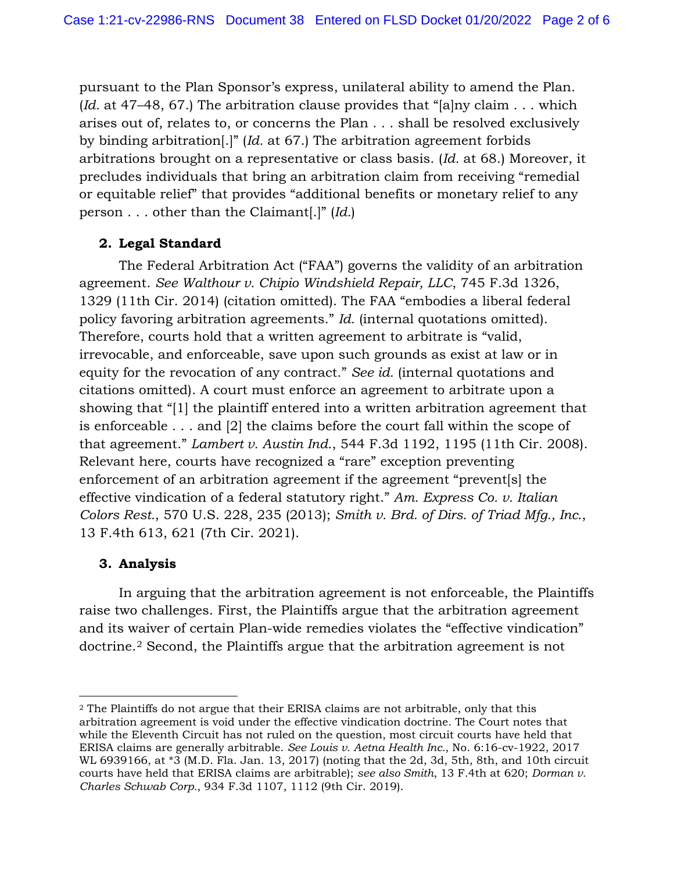pursuant to the Plan Sponsor's express, unilateral ability to amend the Plan. (*Id.* at 47–48, 67.) The arbitration clause provides that "[a]ny claim . . . which arises out of, relates to, or concerns the Plan . . . shall be resolved exclusively by binding arbitration[.]" (*Id.* at 67.) The arbitration agreement forbids arbitrations brought on a representative or class basis. (*Id.* at 68.) Moreover, it precludes individuals that bring an arbitration claim from receiving "remedial or equitable relief" that provides "additional benefits or monetary relief to any person . . . other than the Claimant[.]" (*Id.*)

### **2. Legal Standard**

The Federal Arbitration Act ("FAA") governs the validity of an arbitration agreement. *See Walthour v. Chipio Windshield Repair, LLC*, 745 F.3d 1326, 1329 (11th Cir. 2014) (citation omitted). The FAA "embodies a liberal federal policy favoring arbitration agreements." *Id.* (internal quotations omitted). Therefore, courts hold that a written agreement to arbitrate is "valid, irrevocable, and enforceable, save upon such grounds as exist at law or in equity for the revocation of any contract." *See id.* (internal quotations and citations omitted). A court must enforce an agreement to arbitrate upon a showing that "[1] the plaintiff entered into a written arbitration agreement that is enforceable . . . and [2] the claims before the court fall within the scope of that agreement." *Lambert v. Austin Ind.*, 544 F.3d 1192, 1195 (11th Cir. 2008). Relevant here, courts have recognized a "rare" exception preventing enforcement of an arbitration agreement if the agreement "prevent[s] the effective vindication of a federal statutory right." *Am. Express Co. v. Italian Colors Rest.*, 570 U.S. 228, 235 (2013); *Smith v. Brd. of Dirs. of Triad Mfg., Inc.*, 13 F.4th 613, 621 (7th Cir. 2021).

# **3. Analysis**

In arguing that the arbitration agreement is not enforceable, the Plaintiffs raise two challenges. First, the Plaintiffs argue that the arbitration agreement and its waiver of certain Plan-wide remedies violates the "effective vindication" doctrine.2 Second, the Plaintiffs argue that the arbitration agreement is not

<sup>&</sup>lt;sup>2</sup> The Plaintiffs do not argue that their ERISA claims are not arbitrable, only that this arbitration agreement is void under the effective vindication doctrine. The Court notes that while the Eleventh Circuit has not ruled on the question, most circuit courts have held that ERISA claims are generally arbitrable. *See Louis v. Aetna Health Inc.*, No. 6:16-cv-1922, 2017 WL 6939166, at \*3 (M.D. Fla. Jan. 13, 2017) (noting that the 2d, 3d, 5th, 8th, and 10th circuit courts have held that ERISA claims are arbitrable); *see also Smith*, 13 F.4th at 620; *Dorman v. Charles Schwab Corp.*, 934 F.3d 1107, 1112 (9th Cir. 2019).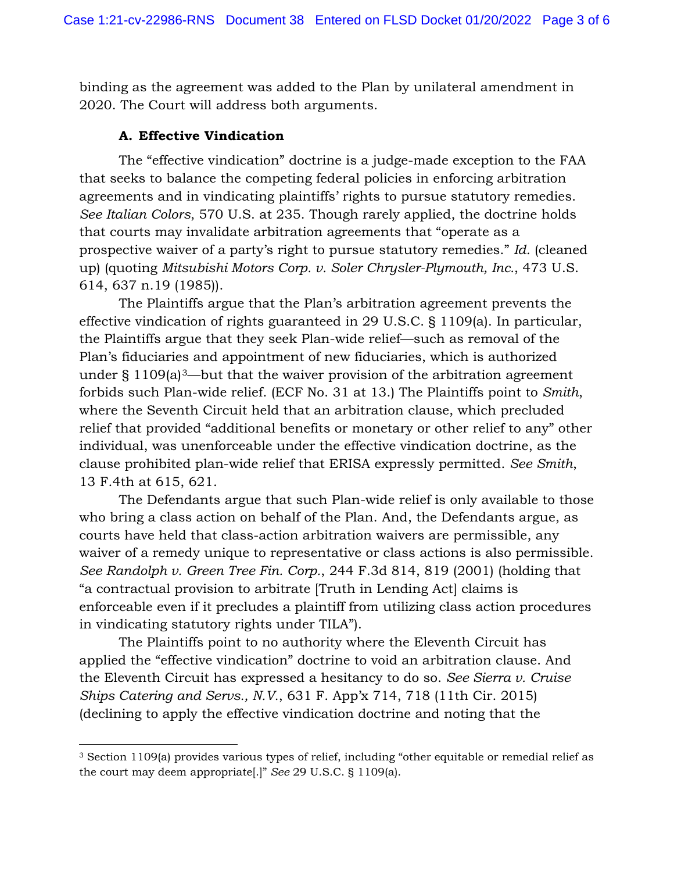binding as the agreement was added to the Plan by unilateral amendment in 2020. The Court will address both arguments.

#### **A. Effective Vindication**

The "effective vindication" doctrine is a judge-made exception to the FAA that seeks to balance the competing federal policies in enforcing arbitration agreements and in vindicating plaintiffs' rights to pursue statutory remedies. *See Italian Colors*, 570 U.S. at 235. Though rarely applied, the doctrine holds that courts may invalidate arbitration agreements that "operate as a prospective waiver of a party's right to pursue statutory remedies." *Id.* (cleaned up) (quoting *Mitsubishi Motors Corp. v. Soler Chrysler-Plymouth, Inc.*, 473 U.S. 614, 637 n.19 (1985)).

The Plaintiffs argue that the Plan's arbitration agreement prevents the effective vindication of rights guaranteed in 29 U.S.C. § 1109(a). In particular, the Plaintiffs argue that they seek Plan-wide relief—such as removal of the Plan's fiduciaries and appointment of new fiduciaries, which is authorized under  $\S 1109(a)^3$ —but that the waiver provision of the arbitration agreement forbids such Plan-wide relief. (ECF No. 31 at 13.) The Plaintiffs point to *Smith*, where the Seventh Circuit held that an arbitration clause, which precluded relief that provided "additional benefits or monetary or other relief to any" other individual, was unenforceable under the effective vindication doctrine, as the clause prohibited plan-wide relief that ERISA expressly permitted. *See Smith*, 13 F.4th at 615, 621.

The Defendants argue that such Plan-wide relief is only available to those who bring a class action on behalf of the Plan. And, the Defendants argue, as courts have held that class-action arbitration waivers are permissible, any waiver of a remedy unique to representative or class actions is also permissible. *See Randolph v. Green Tree Fin. Corp.*, 244 F.3d 814, 819 (2001) (holding that "a contractual provision to arbitrate [Truth in Lending Act] claims is enforceable even if it precludes a plaintiff from utilizing class action procedures in vindicating statutory rights under TILA").

The Plaintiffs point to no authority where the Eleventh Circuit has applied the "effective vindication" doctrine to void an arbitration clause. And the Eleventh Circuit has expressed a hesitancy to do so. *See Sierra v. Cruise Ships Catering and Servs., N.V.*, 631 F. App'x 714, 718 (11th Cir. 2015) (declining to apply the effective vindication doctrine and noting that the

<sup>3</sup> Section 1109(a) provides various types of relief, including "other equitable or remedial relief as the court may deem appropriate[.]" *See* 29 U.S.C. § 1109(a).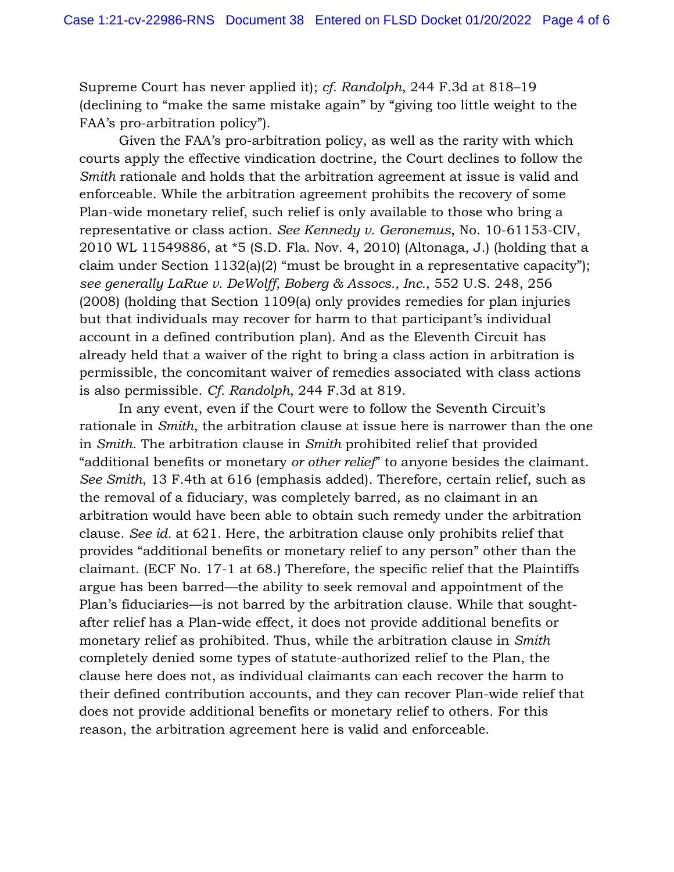Supreme Court has never applied it); *cf. Randolph*, 244 F.3d at 818–19 (declining to "make the same mistake again" by "giving too little weight to the FAA's pro-arbitration policy").

Given the FAA's pro-arbitration policy, as well as the rarity with which courts apply the effective vindication doctrine, the Court declines to follow the *Smith* rationale and holds that the arbitration agreement at issue is valid and enforceable. While the arbitration agreement prohibits the recovery of some Plan-wide monetary relief, such relief is only available to those who bring a representative or class action. *See Kennedy v. Geronemus*, No. 10-61153-CIV, 2010 WL 11549886, at \*5 (S.D. Fla. Nov. 4, 2010) (Altonaga, J.) (holding that a claim under Section 1132(a)(2) "must be brought in a representative capacity"); *see generally LaRue v. DeWolff, Boberg & Assocs., Inc.*, 552 U.S. 248, 256 (2008) (holding that Section 1109(a) only provides remedies for plan injuries but that individuals may recover for harm to that participant's individual account in a defined contribution plan). And as the Eleventh Circuit has already held that a waiver of the right to bring a class action in arbitration is permissible, the concomitant waiver of remedies associated with class actions is also permissible. *Cf. Randolph*, 244 F.3d at 819.

In any event, even if the Court were to follow the Seventh Circuit's rationale in *Smith*, the arbitration clause at issue here is narrower than the one in *Smith*. The arbitration clause in *Smith* prohibited relief that provided "additional benefits or monetary *or other relief*" to anyone besides the claimant. *See Smith*, 13 F.4th at 616 (emphasis added). Therefore, certain relief, such as the removal of a fiduciary, was completely barred, as no claimant in an arbitration would have been able to obtain such remedy under the arbitration clause. *See id.* at 621. Here, the arbitration clause only prohibits relief that provides "additional benefits or monetary relief to any person" other than the claimant. (ECF No. 17-1 at 68.) Therefore, the specific relief that the Plaintiffs argue has been barred—the ability to seek removal and appointment of the Plan's fiduciaries—is not barred by the arbitration clause. While that soughtafter relief has a Plan-wide effect, it does not provide additional benefits or monetary relief as prohibited. Thus, while the arbitration clause in *Smith* completely denied some types of statute-authorized relief to the Plan, the clause here does not, as individual claimants can each recover the harm to their defined contribution accounts, and they can recover Plan-wide relief that does not provide additional benefits or monetary relief to others. For this reason, the arbitration agreement here is valid and enforceable.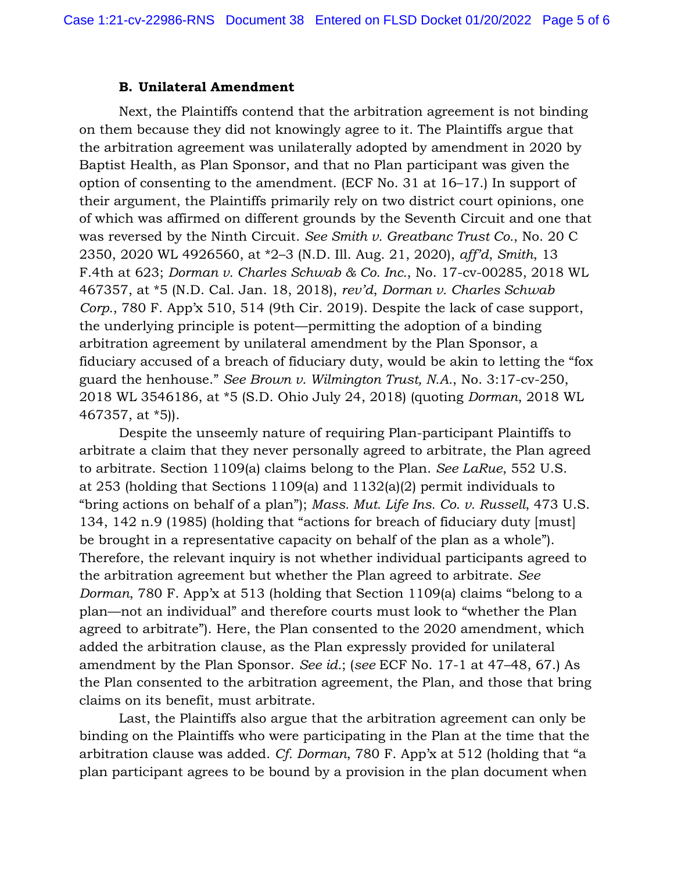#### **B. Unilateral Amendment**

Next, the Plaintiffs contend that the arbitration agreement is not binding on them because they did not knowingly agree to it. The Plaintiffs argue that the arbitration agreement was unilaterally adopted by amendment in 2020 by Baptist Health, as Plan Sponsor, and that no Plan participant was given the option of consenting to the amendment. (ECF No. 31 at 16–17.) In support of their argument, the Plaintiffs primarily rely on two district court opinions, one of which was affirmed on different grounds by the Seventh Circuit and one that was reversed by the Ninth Circuit. *See Smith v. Greatbanc Trust Co.*, No. 20 C 2350, 2020 WL 4926560, at \*2–3 (N.D. Ill. Aug. 21, 2020), *aff'd*, *Smith*, 13 F.4th at 623; *Dorman v. Charles Schwab & Co. Inc.*, No. 17-cv-00285, 2018 WL 467357, at \*5 (N.D. Cal. Jan. 18, 2018), *rev'd*, *Dorman v. Charles Schwab Corp.*, 780 F. App'x 510, 514 (9th Cir. 2019). Despite the lack of case support, the underlying principle is potent—permitting the adoption of a binding arbitration agreement by unilateral amendment by the Plan Sponsor, a fiduciary accused of a breach of fiduciary duty, would be akin to letting the "fox guard the henhouse." *See Brown v. Wilmington Trust, N.A.*, No. 3:17-cv-250, 2018 WL 3546186, at \*5 (S.D. Ohio July 24, 2018) (quoting *Dorman*, 2018 WL 467357, at \*5)).

Despite the unseemly nature of requiring Plan-participant Plaintiffs to arbitrate a claim that they never personally agreed to arbitrate, the Plan agreed to arbitrate. Section 1109(a) claims belong to the Plan. *See LaRue*, 552 U.S. at 253 (holding that Sections 1109(a) and 1132(a)(2) permit individuals to "bring actions on behalf of a plan"); *Mass. Mut. Life Ins. Co. v. Russell*, 473 U.S. 134, 142 n.9 (1985) (holding that "actions for breach of fiduciary duty [must] be brought in a representative capacity on behalf of the plan as a whole"). Therefore, the relevant inquiry is not whether individual participants agreed to the arbitration agreement but whether the Plan agreed to arbitrate. *See Dorman*, 780 F. App'x at 513 (holding that Section 1109(a) claims "belong to a plan—not an individual" and therefore courts must look to "whether the Plan agreed to arbitrate"). Here, the Plan consented to the 2020 amendment, which added the arbitration clause, as the Plan expressly provided for unilateral amendment by the Plan Sponsor. *See id.*; (*see* ECF No. 17-1 at 47–48, 67.) As the Plan consented to the arbitration agreement, the Plan, and those that bring claims on its benefit, must arbitrate.

Last, the Plaintiffs also argue that the arbitration agreement can only be binding on the Plaintiffs who were participating in the Plan at the time that the arbitration clause was added. *Cf. Dorman*, 780 F. App'x at 512 (holding that "a plan participant agrees to be bound by a provision in the plan document when